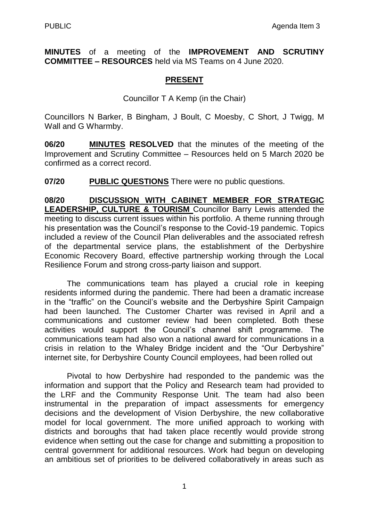**MINUTES** of a meeting of the **IMPROVEMENT AND SCRUTINY COMMITTEE – RESOURCES** held via MS Teams on 4 June 2020.

# **PRESENT**

Councillor T A Kemp (in the Chair)

Councillors N Barker, B Bingham, J Boult, C Moesby, C Short, J Twigg, M Wall and G Wharmby.

**06/20 MINUTES RESOLVED** that the minutes of the meeting of the Improvement and Scrutiny Committee – Resources held on 5 March 2020 be confirmed as a correct record.

**07/20 PUBLIC QUESTIONS** There were no public questions.

**08/20 DISCUSSION WITH CABINET MEMBER FOR STRATEGIC LEADERSHIP, CULTURE & TOURISM** Councillor Barry Lewis attended the meeting to discuss current issues within his portfolio. A theme running through his presentation was the Council's response to the Covid-19 pandemic. Topics included a review of the Council Plan deliverables and the associated refresh of the departmental service plans, the establishment of the Derbyshire Economic Recovery Board, effective partnership working through the Local Resilience Forum and strong cross-party liaison and support.

The communications team has played a crucial role in keeping residents informed during the pandemic. There had been a dramatic increase in the "traffic" on the Council's website and the Derbyshire Spirit Campaign had been launched. The Customer Charter was revised in April and a communications and customer review had been completed. Both these activities would support the Council's channel shift programme. The communications team had also won a national award for communications in a crisis in relation to the Whaley Bridge incident and the "Our Derbyshire" internet site, for Derbyshire County Council employees, had been rolled out

Pivotal to how Derbyshire had responded to the pandemic was the information and support that the Policy and Research team had provided to the LRF and the Community Response Unit. The team had also been instrumental in the preparation of impact assessments for emergency decisions and the development of Vision Derbyshire, the new collaborative model for local government. The more unified approach to working with districts and boroughs that had taken place recently would provide strong evidence when setting out the case for change and submitting a proposition to central government for additional resources. Work had begun on developing an ambitious set of priorities to be delivered collaboratively in areas such as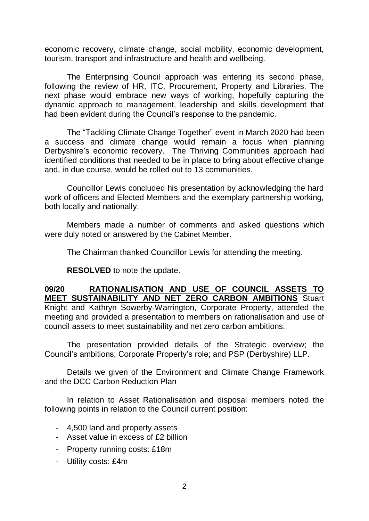economic recovery, climate change, social mobility, economic development, tourism, transport and infrastructure and health and wellbeing.

The Enterprising Council approach was entering its second phase, following the review of HR, ITC, Procurement, Property and Libraries. The next phase would embrace new ways of working, hopefully capturing the dynamic approach to management, leadership and skills development that had been evident during the Council's response to the pandemic.

The "Tackling Climate Change Together" event in March 2020 had been a success and climate change would remain a focus when planning Derbyshire's economic recovery. The Thriving Communities approach had identified conditions that needed to be in place to bring about effective change and, in due course, would be rolled out to 13 communities.

Councillor Lewis concluded his presentation by acknowledging the hard work of officers and Elected Members and the exemplary partnership working, both locally and nationally.

Members made a number of comments and asked questions which were duly noted or answered by the Cabinet Member.

The Chairman thanked Councillor Lewis for attending the meeting.

**RESOLVED** to note the update.

**09/20 RATIONALISATION AND USE OF COUNCIL ASSETS TO MEET SUSTAINABILITY AND NET ZERO CARBON AMBITIONS** Stuart Knight and Kathryn Sowerby-Warrington, Corporate Property, attended the meeting and provided a presentation to members on rationalisation and use of council assets to meet sustainability and net zero carbon ambitions.

The presentation provided details of the Strategic overview; the Council's ambitions; Corporate Property's role; and PSP (Derbyshire) LLP.

Details we given of the Environment and Climate Change Framework and the DCC Carbon Reduction Plan

In relation to Asset Rationalisation and disposal members noted the following points in relation to the Council current position:

- 4,500 land and property assets
- Asset value in excess of £2 billion
- Property running costs: £18m
- Utility costs: £4m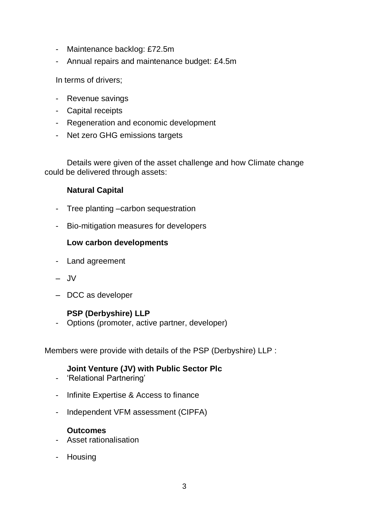- Maintenance backlog: £72.5m
- Annual repairs and maintenance budget: £4.5m

In terms of drivers;

- Revenue savings
- Capital receipts
- Regeneration and economic development
- Net zero GHG emissions targets

Details were given of the asset challenge and how Climate change could be delivered through assets:

## **Natural Capital**

- Tree planting –carbon sequestration
- Bio-mitigation measures for developers

### **Low carbon developments**

- Land agreement
- JV
- DCC as developer

#### **PSP (Derbyshire) LLP**

- Options (promoter, active partner, developer)

Members were provide with details of the PSP (Derbyshire) LLP :

## **Joint Venture (JV) with Public Sector Plc**

- 'Relational Partnering'
- Infinite Expertise & Access to finance
- Independent VFM assessment (CIPFA)

#### **Outcomes**

- Asset rationalisation
- Housing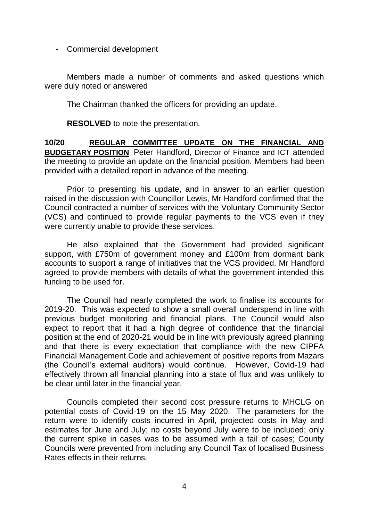- Commercial development

Members made a number of comments and asked questions which were duly noted or answered

The Chairman thanked the officers for providing an update.

**RESOLVED** to note the presentation.

**10/20 REGULAR COMMITTEE UPDATE ON THE FINANCIAL AND BUDGETARY POSITION** Peter Handford, Director of Finance and ICT attended the meeting to provide an update on the financial position. Members had been provided with a detailed report in advance of the meeting.

Prior to presenting his update, and in answer to an earlier question raised in the discussion with Councillor Lewis, Mr Handford confirmed that the Council contracted a number of services with the Voluntary Community Sector (VCS) and continued to provide regular payments to the VCS even if they were currently unable to provide these services.

He also explained that the Government had provided significant support, with £750m of government money and £100m from dormant bank accounts to support a range of initiatives that the VCS provided. Mr Handford agreed to provide members with details of what the government intended this funding to be used for.

The Council had nearly completed the work to finalise its accounts for 2019-20. This was expected to show a small overall underspend in line with previous budget monitoring and financial plans. The Council would also expect to report that it had a high degree of confidence that the financial position at the end of 2020-21 would be in line with previously agreed planning and that there is every expectation that compliance with the new CIPFA Financial Management Code and achievement of positive reports from Mazars (the Council's external auditors) would continue. However, Covid-19 had effectively thrown all financial planning into a state of flux and was unlikely to be clear until later in the financial year.

Councils completed their second cost pressure returns to MHCLG on potential costs of Covid-19 on the 15 May 2020. The parameters for the return were to identify costs incurred in April, projected costs in May and estimates for June and July; no costs beyond July were to be included; only the current spike in cases was to be assumed with a tail of cases; County Councils were prevented from including any Council Tax of localised Business Rates effects in their returns.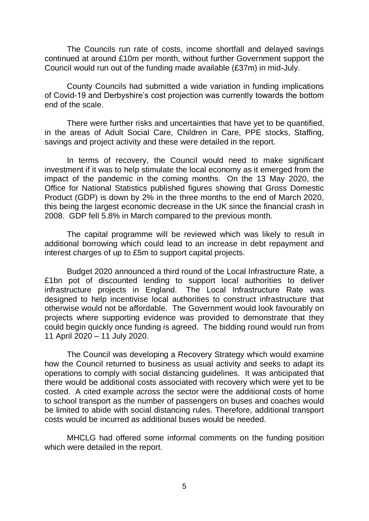The Councils run rate of costs, income shortfall and delayed savings continued at around £10m per month, without further Government support the Council would run out of the funding made available (£37m) in mid-July.

County Councils had submitted a wide variation in funding implications of Covid-19 and Derbyshire's cost projection was currently towards the bottom end of the scale.

There were further risks and uncertainties that have yet to be quantified, in the areas of Adult Social Care, Children in Care, PPE stocks, Staffing, savings and project activity and these were detailed in the report.

In terms of recovery, the Council would need to make significant investment if it was to help stimulate the local economy as it emerged from the impact of the pandemic in the coming months. On the 13 May 2020, the Office for National Statistics published figures showing that Gross Domestic Product (GDP) is down by 2% in the three months to the end of March 2020, this being the largest economic decrease in the UK since the financial crash in 2008. GDP fell 5.8% in March compared to the previous month.

The capital programme will be reviewed which was likely to result in additional borrowing which could lead to an increase in debt repayment and interest charges of up to £5m to support capital projects.

Budget 2020 announced a third round of the Local Infrastructure Rate, a £1bn pot of discounted lending to support local authorities to deliver infrastructure projects in England. The Local Infrastructure Rate was designed to help incentivise local authorities to construct infrastructure that otherwise would not be affordable. The Government would look favourably on projects where supporting evidence was provided to demonstrate that they could begin quickly once funding is agreed. The bidding round would run from 11 April 2020 – 11 July 2020.

The Council was developing a Recovery Strategy which would examine how the Council returned to business as usual activity and seeks to adapt its operations to comply with social distancing guidelines. It was anticipated that there would be additional costs associated with recovery which were yet to be costed. A cited example across the sector were the additional costs of home to school transport as the number of passengers on buses and coaches would be limited to abide with social distancing rules. Therefore, additional transport costs would be incurred as additional buses would be needed.

MHCLG had offered some informal comments on the funding position which were detailed in the report.